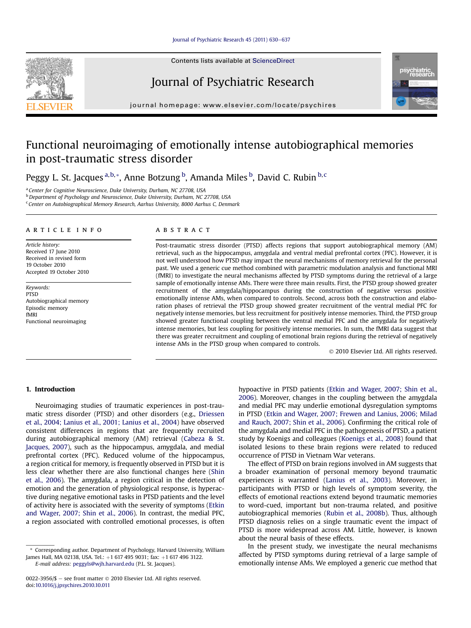Contents lists available at ScienceDirect

# Journal of Psychiatric Research

 $j<sub>i</sub>$  and the page: where  $i<sub>i</sub>$  is the company companion

## Functional neuroimaging of emotionally intense autobiographical memories in post-traumatic stress disorder

Peggy L. St. Jacques <sup>a, b,</sup> \*, Anne Botzung <sup>b</sup>, Amanda Miles <sup>b</sup>, David C. Rubin <sup>b, c</sup>

<sup>a</sup> Center for Cognitive Neuroscience, Duke University, Durham, NC 27708, USA

<sup>b</sup> Department of Psychology and Neuroscience, Duke University, Durham, NC 27708, USA

 $c$  Center on Autobiographical Memory Research, Aarhus University, 8000 Aarhus C, Denmark

#### article info

Article history: Received 17 June 2010 Received in revised form 19 October 2010 Accepted 19 October 2010

Keywords: PTSD Autobiographical memory Episodic memory fMRI Functional neuroimaging

#### **ABSTRACT**

Post-traumatic stress disorder (PTSD) affects regions that support autobiographical memory (AM) retrieval, such as the hippocampus, amygdala and ventral medial prefrontal cortex (PFC). However, it is not well understood how PTSD may impact the neural mechanisms of memory retrieval for the personal past. We used a generic cue method combined with parametric modulation analysis and functional MRI (fMRI) to investigate the neural mechanisms affected by PTSD symptoms during the retrieval of a large sample of emotionally intense AMs. There were three main results. First, the PTSD group showed greater recruitment of the amygdala/hippocampus during the construction of negative versus positive emotionally intense AMs, when compared to controls. Second, across both the construction and elaboration phases of retrieval the PTSD group showed greater recruitment of the ventral medial PFC for negatively intense memories, but less recruitment for positively intense memories. Third, the PTSD group showed greater functional coupling between the ventral medial PFC and the amygdala for negatively intense memories, but less coupling for positively intense memories. In sum, the fMRI data suggest that there was greater recruitment and coupling of emotional brain regions during the retrieval of negatively intense AMs in the PTSD group when compared to controls.

2010 Elsevier Ltd. All rights reserved.

## 1. Introduction

Neuroimaging studies of traumatic experiences in post-traumatic stress disorder (PTSD) and other disorders (e.g., Driessen et al., 2004; Lanius et al., 2001; Lanius et al., 2004) have observed consistent differences in regions that are frequently recruited during autobiographical memory (AM) retrieval (Cabeza & St. Jacques, 2007), such as the hippocampus, amygdala, and medial prefrontal cortex (PFC). Reduced volume of the hippocampus, a region critical for memory, is frequently observed in PTSD but it is less clear whether there are also functional changes here (Shin et al., 2006). The amygdala, a region critical in the detection of emotion and the generation of physiological response, is hyperactive during negative emotional tasks in PTSD patients and the level of activity here is associated with the severity of symptoms (Etkin and Wager, 2007; Shin et al., 2006). In contrast, the medial PFC, a region associated with controlled emotional processes, is often

\* Corresponding author. Department of Psychology, Harvard University, William James Hall, MA 02138, USA. Tel.: +1 617 495 9031; fax: +1 617 496 3122.

hypoactive in PTSD patients (Etkin and Wager, 2007; Shin et al., 2006). Moreover, changes in the coupling between the amygdala and medial PFC may underlie emotional dysregulation symptoms in PTSD (Etkin and Wager, 2007; Frewen and Lanius, 2006; Milad and Rauch, 2007; Shin et al., 2006). Confirming the critical role of the amygdala and medial PFC in the pathogenesis of PTSD, a patient study by Koenigs and colleagues (Koenigs et al., 2008) found that isolated lesions to these brain regions were related to reduced occurrence of PTSD in Vietnam War veterans.

The effect of PTSD on brain regions involved in AM suggests that a broader examination of personal memory beyond traumatic experiences is warranted (Lanius et al., 2003). Moreover, in participants with PTSD or high levels of symptom severity, the effects of emotional reactions extend beyond traumatic memories to word-cued, important but non-trauma related, and positive autobiographical memories (Rubin et al., 2008b). Thus, although PTSD diagnosis relies on a single traumatic event the impact of PTSD is more widespread across AM. Little, however, is known about the neural basis of these effects.

In the present study, we investigate the neural mechanisms affected by PTSD symptoms during retrieval of a large sample of emotionally intense AMs. We employed a generic cue method that



E-mail address: [peggyls@wjh.harvard.edu](mailto:peggyls@wjh.harvard.edu) (P.L. St. Jacques).

<sup>0022-3956/\$</sup>  $-$  see front matter  $\odot$  2010 Elsevier Ltd. All rights reserved. doi:[10.1016/j.jpsychires.2010.10.011](http://dx.doi.org/10.1016/j.jpsychires.2010.10.011)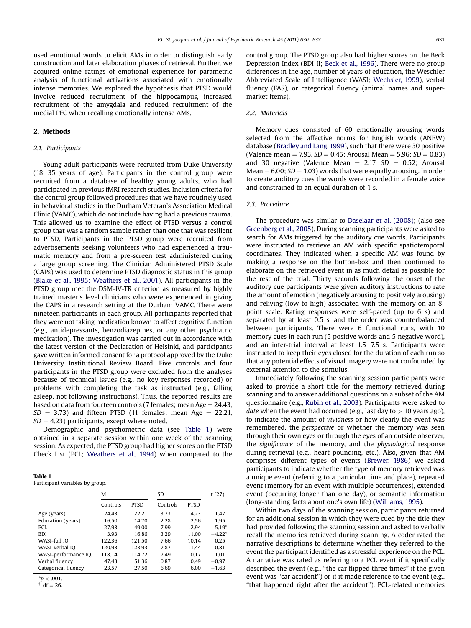used emotional words to elicit AMs in order to distinguish early construction and later elaboration phases of retrieval. Further, we acquired online ratings of emotional experience for parametric analysis of functional activations associated with emotionally intense memories. We explored the hypothesis that PTSD would involve reduced recruitment of the hippocampus, increased recruitment of the amygdala and reduced recruitment of the medial PFC when recalling emotionally intense AMs.

#### 2. Methods

### 2.1. Participants

Young adult participants were recruited from Duke University  $(18-35)$  years of age). Participants in the control group were recruited from a database of healthy young adults, who had participated in previous fMRI research studies. Inclusion criteria for the control group followed procedures that we have routinely used in behavioral studies in the Durham Veteran's Association Medical Clinic (VAMC), which do not include having had a previous trauma. This allowed us to examine the effect of PTSD versus a control group that was a random sample rather than one that was resilient to PTSD. Participants in the PTSD group were recruited from advertisements seeking volunteers who had experienced a traumatic memory and from a pre-screen test administered during a large group screening. The Clinician Administered PTSD Scale (CAPs) was used to determine PTSD diagnostic status in this group (Blake et al., 1995; Weathers et al., 2001). All participants in the PTSD group met the DSM-IV-TR criterion as measured by highly trained master's level clinicians who were experienced in giving the CAPS in a research setting at the Durham VAMC. There were nineteen participants in each group. All participants reported that they were not taking medication known to affect cognitive function (e.g., antidepressants, benzodiazepines, or any other psychiatric medication). The investigation was carried out in accordance with the latest version of the Declaration of Helsinki, and participants gave written informed consent for a protocol approved by the Duke University Institutional Review Board. Five controls and four participants in the PTSD group were excluded from the analyses because of technical issues (e.g., no key responses recorded) or problems with completing the task as instructed (e.g., falling asleep, not following instructions). Thus, the reported results are based on data from fourteen controls (7 females; mean Age  $=$  24.43,  $SD = 3.73$ ) and fifteen PTSD (11 females; mean Age = 22.21,  $SD = 4.23$ ) participants, except where noted.

Demographic and psychometric data (see Table 1) were obtained in a separate session within one week of the scanning session. As expected, the PTSD group had higher scores on the PTSD Check List (PCL; Weathers et al., 1994) when compared to the

| Table 1 |                                 |  |  |
|---------|---------------------------------|--|--|
|         | Participant variables by group. |  |  |

|                     | M        |             | SD.      |             | t(27)    |
|---------------------|----------|-------------|----------|-------------|----------|
|                     | Controls | <b>PTSD</b> | Controls | <b>PTSD</b> |          |
| Age (years)         | 24.43    | 22.21       | 3.73     | 4.23        | 1.47     |
| Education (years)   | 16.50    | 14.70       | 2.28     | 2.56        | 1.95     |
| PCL <sup>†</sup>    | 27.93    | 49.00       | 7.99     | 12.94       | $-5.19*$ |
| <b>BDI</b>          | 3.93     | 16.86       | 3.29     | 11.00       | $-4.22*$ |
| WASI-full IQ        | 122.36   | 121.50      | 7.66     | 10.14       | 0.25     |
| WASI-verbal IQ      | 120.93   | 123.93      | 7.87     | 11.44       | $-0.81$  |
| WASI-performance IQ | 118.14   | 114.72      | 7.49     | 10.17       | 1.01     |
| Verbal fluency      | 47.43    | 51.36       | 10.87    | 10.49       | $-0.97$  |
| Categorical fluency | 23.57    | 27.50       | 6.69     | 6.00        | $-1.63$  |

 $*p < .001$ .  $df = 26.$  control group. The PTSD group also had higher scores on the Beck Depression Index (BDI-II; Beck et al., 1996). There were no group differences in the age, number of years of education, the Weschler Abbreviated Scale of Intelligence (WASI; Wechsler, 1999), verbal fluency (FAS), or categorical fluency (animal names and supermarket items).

#### 2.2. Materials

Memory cues consisted of 60 emotionally arousing words selected from the affective norms for English words (ANEW) database (Bradley and Lang, 1999), such that there were 30 positive (Valence mean  $= 7.93$ ,  $SD = 0.45$ ; Arousal Mean  $= 5.96$ ;  $SD = 0.83$ ) and 30 negative (Valence Mean  $= 2.17$ , SD  $= 0.52$ ; Arousal Mean  $= 6.00$ ; SD  $= 1.03$ ) words that were equally arousing. In order to create auditory cues the words were recorded in a female voice and constrained to an equal duration of 1 s.

#### 2.3. Procedure

The procedure was similar to Daselaar et al. (2008); (also see Greenberg et al., 2005). During scanning participants were asked to search for AMs triggered by the auditory cue words. Participants were instructed to retrieve an AM with specific spatiotemporal coordinates. They indicated when a specific AM was found by making a response on the button-box and then continued to elaborate on the retrieved event in as much detail as possible for the rest of the trial. Thirty seconds following the onset of the auditory cue participants were given auditory instructions to rate the amount of emotion (negatively arousing to positively arousing) and reliving (low to high) associated with the memory on an 8 point scale. Rating responses were self-paced (up to 6 s) and separated by at least 0.5 s, and the order was counterbalanced between participants. There were 6 functional runs, with 10 memory cues in each run (5 positive words and 5 negative word), and an inter-trial interval at least  $1.5-7.5$  s. Participants were instructed to keep their eyes closed for the duration of each run so that any potential effects of visual imagery were not confounded by external attention to the stimulus.

Immediately following the scanning session participants were asked to provide a short title for the memory retrieved during scanning and to answer additional questions on a subset of the AM questionnaire (e.g., Rubin et al., 2003). Participants were asked to date when the event had occurred (e.g., last day to  $> 10$  years ago), to indicate the amount of vividness or how clearly the event was remembered, the perspective or whether the memory was seen through their own eyes or through the eyes of an outside observer, the significance of the memory, and the physiological response during retrieval (e.g., heart pounding, etc.). Also, given that AM comprises different types of events (Brewer, 1986) we asked participants to indicate whether the type of memory retrieved was a unique event (referring to a particular time and place), repeated event (memory for an event with multiple occurrences), extended event (occurring longer than one day), or semantic information (long-standing facts about one's own life) (Williams, 1995).

Within two days of the scanning session, participants returned for an additional session in which they were cued by the title they had provided following the scanning session and asked to verbally recall the memories retrieved during scanning. A coder rated the narrative descriptions to determine whether they referred to the event the participant identified as a stressful experience on the PCL. A narrative was rated as referring to a PCL event if it specifically described the event (e.g., "the car flipped three times" if the given event was "car accident") or if it made reference to the event (e.g., "that happened right after the accident"). PCL-related memories